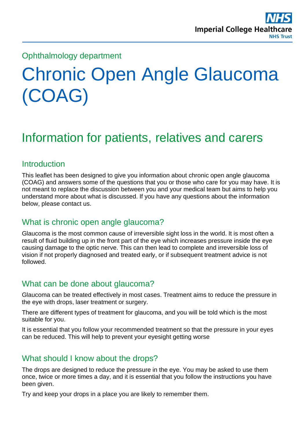# Ophthalmology department

# Chronic Open Angle Glaucoma (COAG)

# Information for patients, relatives and carers

#### **Introduction**

This leaflet has been designed to give you information about chronic open angle glaucoma (COAG) and answers some of the questions that you or those who care for you may have. It is not meant to replace the discussion between you and your medical team but aims to help you understand more about what is discussed. If you have any questions about the information below, please contact us.

## What is chronic open angle glaucoma?

Glaucoma is the most common cause of irreversible sight loss in the world. It is most often a result of fluid building up in the front part of the eye which increases pressure inside the eye causing damage to the optic nerve. This can then lead to complete and irreversible loss of vision if not properly diagnosed and treated early, or if subsequent treatment advice is not followed.

#### What can be done about glaucoma?

Glaucoma can be treated effectively in most cases. Treatment aims to reduce the pressure in the eye with drops, laser treatment or surgery.

There are different types of treatment for glaucoma, and you will be told which is the most suitable for you.

It is essential that you follow your recommended treatment so that the pressure in your eyes can be reduced. This will help to prevent your eyesight getting worse

#### What should I know about the drops?

The drops are designed to reduce the pressure in the eye. You may be asked to use them once, twice or more times a day, and it is essential that you follow the instructions you have been given.

Try and keep your drops in a place you are likely to remember them.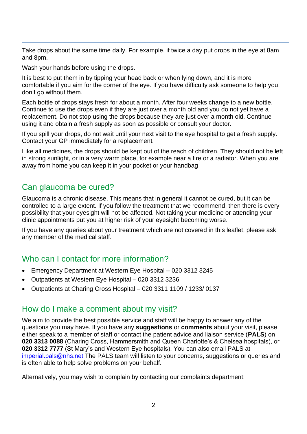Take drops about the same time daily. For example, if twice a day put drops in the eye at 8am and 8pm.

Wash your hands before using the drops.

It is best to put them in by tipping your head back or when lying down, and it is more comfortable if you aim for the corner of the eye. If you have difficulty ask someone to help you, don't go without them.

Each bottle of drops stays fresh for about a month. After four weeks change to a new bottle. Continue to use the drops even if they are just over a month old and you do not yet have a replacement. Do not stop using the drops because they are just over a month old. Continue using it and obtain a fresh supply as soon as possible or consult your doctor.

If you spill your drops, do not wait until your next visit to the eye hospital to get a fresh supply. Contact your GP immediately for a replacement.

Like all medicines, the drops should be kept out of the reach of children. They should not be left in strong sunlight, or in a very warm place, for example near a fire or a radiator. When you are away from home you can keep it in your pocket or your handbag

# Can glaucoma be cured?

Glaucoma is a chronic disease. This means that in general it cannot be cured, but it can be controlled to a large extent. If you follow the treatment that we recommend, then there is every possibility that your eyesight will not be affected. Not taking your medicine or attending your clinic appointments put you at higher risk of your eyesight becoming worse.

If you have any queries about your treatment which are not covered in this leaflet, please ask any member of the medical staff.

## Who can I contact for more information?

- Emergency Department at Western Eye Hospital 020 3312 3245
- Outpatients at Western Eye Hospital 020 3312 3236
- Outpatients at Charing Cross Hospital 020 3311 1109 / 1233/ 0137

#### How do I make a comment about my visit?

We aim to provide the best possible service and staff will be happy to answer any of the questions you may have. If you have any **suggestions** or **comments** about your visit, please either speak to a member of staff or contact the patient advice and liaison service (**PALS**) on **020 3313 0088** (Charing Cross, Hammersmith and Queen Charlotte's & Chelsea hospitals), or **020 3312 7777** (St Mary's and Western Eye hospitals). You can also email PALS at [imperial.pals@nhs.net](mailto:imperial.pals@nhs.net) The PALS team will listen to your concerns, suggestions or queries and is often able to help solve problems on your behalf.

Alternatively, you may wish to complain by contacting our complaints department: